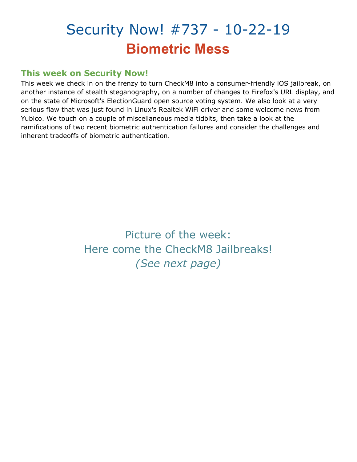# Security Now! #737 - 10-22-19 **Biometric Mess**

## **This week on Security Now!**

This week we check in on the frenzy to turn CheckM8 into a consumer-friendly iOS jailbreak, on another instance of stealth steganography, on a number of changes to Firefox's URL display, and on the state of Microsoft's ElectionGuard open source voting system. We also look at a very serious flaw that was just found in Linux's Realtek WiFi driver and some welcome news from Yubico. We touch on a couple of miscellaneous media tidbits, then take a look at the ramifications of two recent biometric authentication failures and consider the challenges and inherent tradeoffs of biometric authentication.

> Picture of the week: Here come the CheckM8 Jailbreaks! *(See next page)*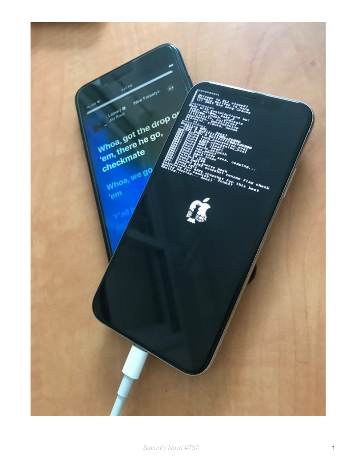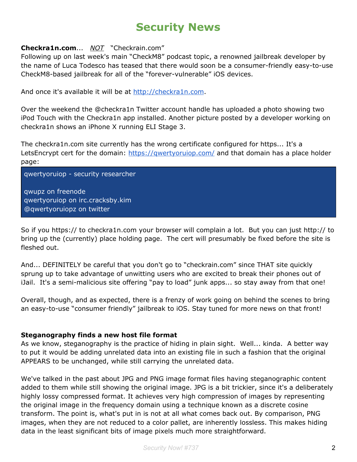# **Security News**

#### **Checkra1n.com**... *NOT* "Checkrain.com"

Following up on last week's main "CheckM8" podcast topic, a renowned jailbreak developer by the name of Luca Todesco has teased that there would soon be a consumer-friendly easy-to-use CheckM8-based jailbreak for all of the "forever-vulnerable" iOS devices.

And once it's available it will be at [http://checkra1n.com.](http://checkra1n.com/)

Over the weekend the @checkra1n Twitter account handle has uploaded a photo showing two iPod Touch with the Checkra1n app installed. Another picture posted by a developer working on checkra1n shows an iPhone X running ELI Stage 3.

The checkra1n.com site currently has the wrong certificate configured for https... It's a LetsEncrypt cert for the domain: <https://qwertyoruiop.com/> and that domain has a place holder page:

qwertyoruiop - security researcher qwupz on freenode qwertyoruiop on irc.cracksby.kim @qwertyoruiopz on twitter

So if you https:// to checkra1n.com your browser will complain a lot. But you can just http:// to bring up the (currently) place holding page. The cert will presumably be fixed before the site is fleshed out.

And... DEFINITELY be careful that you don't go to "checkrain.com" since THAT site quickly sprung up to take advantage of unwitting users who are excited to break their phones out of iJail. It's a semi-malicious site offering "pay to load" junk apps... so stay away from that one!

Overall, though, and as expected, there is a frenzy of work going on behind the scenes to bring an easy-to-use "consumer friendly" jailbreak to iOS. Stay tuned for more news on that front!

#### **Steganography finds a new host file format**

As we know, steganography is the practice of hiding in plain sight. Well... kinda. A better way to put it would be adding unrelated data into an existing file in such a fashion that the original APPEARS to be unchanged, while still carrying the unrelated data.

We've talked in the past about JPG and PNG image format files having steganographic content added to them while still showing the original image. JPG is a bit trickier, since it's a deliberately highly lossy compressed format. It achieves very high compression of images by representing the original image in the frequency domain using a technique known as a discrete cosine transform. The point is, what's put in is not at all what comes back out. By comparison, PNG images, when they are not reduced to a color pallet, are inherently lossless. This makes hiding data in the least significant bits of image pixels much more straightforward.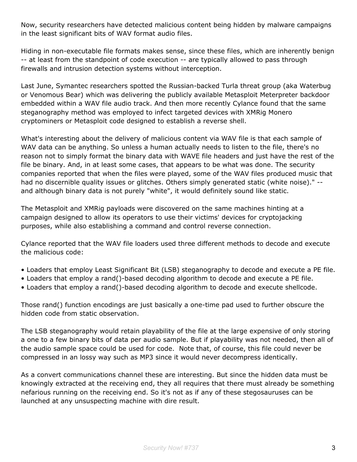Now, security researchers have detected malicious content being hidden by malware campaigns in the least significant bits of WAV format audio files.

Hiding in non-executable file formats makes sense, since these files, which are inherently benign -- at least from the standpoint of code execution -- are typically allowed to pass through firewalls and intrusion detection systems without interception.

Last June, Symantec researchers spotted the Russian-backed Turla threat group (aka Waterbug or Venomous Bear) which was delivering the publicly available Metasploit Meterpreter backdoor embedded within a WAV file audio track. And then more recently Cylance found that the same steganography method was employed to infect targeted devices with XMRig Monero cryptominers or Metasploit code designed to establish a reverse shell.

What's interesting about the delivery of malicious content via WAV file is that each sample of WAV data can be anything. So unless a human actually needs to listen to the file, there's no reason not to simply format the binary data with WAVE file headers and just have the rest of the file be binary. And, in at least some cases, that appears to be what was done. The security companies reported that when the files were played, some of the WAV files produced music that had no discernible quality issues or glitches. Others simply generated static (white noise)." -and although binary data is not purely "white", it would definitely sound like static.

The Metasploit and XMRig payloads were discovered on the same machines hinting at a campaign designed to allow its operators to use their victims' devices for cryptojacking purposes, while also establishing a command and control reverse connection.

Cylance reported that the WAV file loaders used three different methods to decode and execute the malicious code:

- Loaders that employ Least Significant Bit (LSB) steganography to decode and execute a PE file.
- Loaders that employ a rand()-based decoding algorithm to decode and execute a PE file.
- Loaders that employ a rand()-based decoding algorithm to decode and execute shellcode.

Those rand() function encodings are just basically a one-time pad used to further obscure the hidden code from static observation.

The LSB steganography would retain playability of the file at the large expensive of only storing a one to a few binary bits of data per audio sample. But if playability was not needed, then all of the audio sample space could be used for code. Note that, of course, this file could never be compressed in an lossy way such as MP3 since it would never decompress identically.

As a convert communications channel these are interesting. But since the hidden data must be knowingly extracted at the receiving end, they all requires that there must already be something nefarious running on the receiving end. So it's not as if any of these stegosauruses can be launched at any unsuspecting machine with dire result.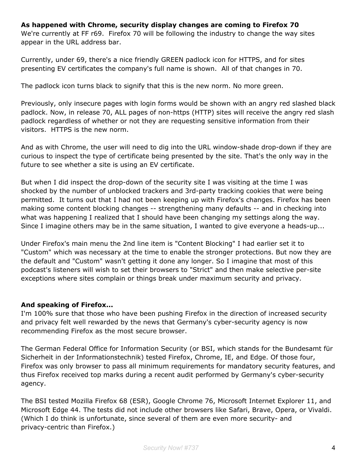**As happened with Chrome, security display changes are coming to Firefox 70** We're currently at FF r69. Firefox 70 will be following the industry to change the way sites appear in the URL address bar.

Currently, under 69, there's a nice friendly GREEN padlock icon for HTTPS, and for sites presenting EV certificates the company's full name is shown. All of that changes in 70.

The padlock icon turns black to signify that this is the new norm. No more green.

Previously, only insecure pages with login forms would be shown with an angry red slashed black padlock. Now, in release 70, ALL pages of non-https (HTTP) sites will receive the angry red slash padlock regardless of whether or not they are requesting sensitive information from their visitors. HTTPS is the new norm.

And as with Chrome, the user will need to dig into the URL window-shade drop-down if they are curious to inspect the type of certificate being presented by the site. That's the only way in the future to see whether a site is using an EV certificate.

But when I did inspect the drop-down of the security site I was visiting at the time I was shocked by the number of unblocked trackers and 3rd-party tracking cookies that were being permitted. It turns out that I had not been keeping up with Firefox's changes. Firefox has been making some content blocking changes -- strengthening many defaults -- and in checking into what was happening I realized that I should have been changing my settings along the way. Since I imagine others may be in the same situation, I wanted to give everyone a heads-up...

Under Firefox's main menu the 2nd line item is "Content Blocking" I had earlier set it to "Custom" which was necessary at the time to enable the stronger protections. But now they are the default and "Custom" wasn't getting it done any longer. So I imagine that most of this podcast's listeners will wish to set their browsers to "Strict" and then make selective per-site exceptions where sites complain or things break under maximum security and privacy.

#### **And speaking of Firefox...**

I'm 100% sure that those who have been pushing Firefox in the direction of increased security and privacy felt well rewarded by the news that Germany's cyber-security agency is now recommending Firefox as the most secure browser.

The German Federal Office for Information Security (or BSI, which stands for the Bundesamt für Sicherheit in der Informationstechnik) tested Firefox, Chrome, IE, and Edge. Of those four, Firefox was only browser to pass all minimum requirements for mandatory security features, and thus Firefox received top marks during a recent audit performed by Germany's cyber-security agency.

The BSI tested Mozilla Firefox 68 (ESR), Google Chrome 76, Microsoft Internet Explorer 11, and Microsoft Edge 44. The tests did not include other browsers like Safari, Brave, Opera, or Vivaldi. (Which I do think is unfortunate, since several of them are even more security- and privacy-centric than Firefox.)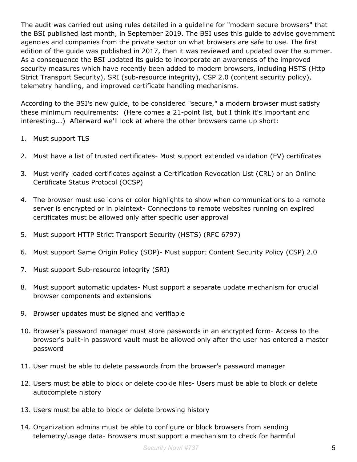The audit was carried out using rules detailed in a guideline for "modern secure browsers" that the BSI published last month, in September 2019. The BSI uses this guide to advise government agencies and companies from the private sector on what browsers are safe to use. The first edition of the guide was published in 2017, then it was reviewed and updated over the summer. As a consequence the BSI updated its guide to incorporate an awareness of the improved security measures which have recently been added to modern browsers, including HSTS (Http Strict Transport Security), SRI (sub-resource integrity), CSP 2.0 (content security policy), telemetry handling, and improved certificate handling mechanisms.

According to the BSI's new guide, to be considered "secure," a modern browser must satisfy these minimum requirements: (Here comes a 21-point list, but I think it's important and interesting...) Afterward we'll look at where the other browsers came up short:

- 1. Must support TLS
- 2. Must have a list of trusted certificates- Must support extended validation (EV) certificates
- 3. Must verify loaded certificates against a Certification Revocation List (CRL) or an Online Certificate Status Protocol (OCSP)
- 4. The browser must use icons or color highlights to show when communications to a remote server is encrypted or in plaintext- Connections to remote websites running on expired certificates must be allowed only after specific user approval
- 5. Must support HTTP Strict Transport Security (HSTS) (RFC 6797)
- 6. Must support Same Origin Policy (SOP)- Must support Content Security Policy (CSP) 2.0
- 7. Must support Sub-resource integrity (SRI)
- 8. Must support automatic updates- Must support a separate update mechanism for crucial browser components and extensions
- 9. Browser updates must be signed and verifiable
- 10. Browser's password manager must store passwords in an encrypted form- Access to the browser's built-in password vault must be allowed only after the user has entered a master password
- 11. User must be able to delete passwords from the browser's password manager
- 12. Users must be able to block or delete cookie files- Users must be able to block or delete autocomplete history
- 13. Users must be able to block or delete browsing history
- 14. Organization admins must be able to configure or block browsers from sending telemetry/usage data- Browsers must support a mechanism to check for harmful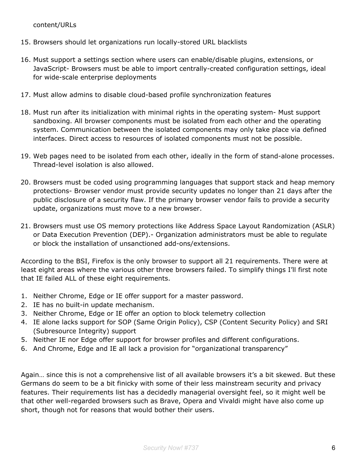#### content/URLs

- 15. Browsers should let organizations run locally-stored URL blacklists
- 16. Must support a settings section where users can enable/disable plugins, extensions, or JavaScript- Browsers must be able to import centrally-created configuration settings, ideal for wide-scale enterprise deployments
- 17. Must allow admins to disable cloud-based profile synchronization features
- 18. Must run after its initialization with minimal rights in the operating system- Must support sandboxing. All browser components must be isolated from each other and the operating system. Communication between the isolated components may only take place via defined interfaces. Direct access to resources of isolated components must not be possible.
- 19. Web pages need to be isolated from each other, ideally in the form of stand-alone processes. Thread-level isolation is also allowed.
- 20. Browsers must be coded using programming languages that support stack and heap memory protections- Browser vendor must provide security updates no longer than 21 days after the public disclosure of a security flaw. If the primary browser vendor fails to provide a security update, organizations must move to a new browser.
- 21. Browsers must use OS memory protections like Address Space Layout Randomization (ASLR) or Data Execution Prevention (DEP).- Organization administrators must be able to regulate or block the installation of unsanctioned add-ons/extensions.

According to the BSI, Firefox is the only browser to support all 21 requirements. There were at least eight areas where the various other three browsers failed. To simplify things I'll first note that IE failed ALL of these eight requirements.

- 1. Neither Chrome, Edge or IE offer support for a master password.
- 2. IE has no built-in update mechanism.
- 3. Neither Chrome, Edge or IE offer an option to block telemetry collection
- 4. IE alone lacks support for SOP (Same Origin Policy), CSP (Content Security Policy) and SRI (Subresource Integrity) support
- 5. Neither IE nor Edge offer support for browser profiles and different configurations.
- 6. And Chrome, Edge and IE all lack a provision for "organizational transparency"

Again… since this is not a comprehensive list of all available browsers it's a bit skewed. But these Germans do seem to be a bit finicky with some of their less mainstream security and privacy features. Their requirements list has a decidedly managerial oversight feel, so it might well be that other well-regarded browsers such as Brave, Opera and Vivaldi might have also come up short, though not for reasons that would bother their users.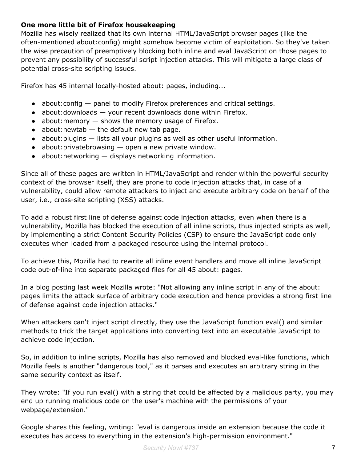#### **One more little bit of Firefox housekeeping**

Mozilla has wisely realized that its own internal HTML/JavaScript browser pages (like the often-mentioned about:config) might somehow become victim of exploitation. So they've taken the wise precaution of preemptively blocking both inline and eval JavaScript on those pages to prevent any possibility of successful script injection attacks. This will mitigate a large class of potential cross-site scripting issues.

Firefox has 45 internal locally-hosted about: pages, including...

- about:config panel to modify Firefox preferences and critical settings.
- about:downloads your recent downloads done within Firefox.
- $\bullet$  about: memory  $-$  shows the memory usage of Firefox.
- $\bullet$  about: newtab  $-$  the default new tab page.
- about:plugins lists all your plugins as well as other useful information.
- $\bullet$  about: privatebrowsing  $-$  open a new private window.
- $\bullet$  about:networking  $-$  displays networking information.

Since all of these pages are written in HTML/JavaScript and render within the powerful security context of the browser itself, they are prone to code injection attacks that, in case of a vulnerability, could allow remote attackers to inject and execute arbitrary code on behalf of the user, i.e., cross-site scripting (XSS) attacks.

To add a robust first line of defense against code injection attacks, even when there is a vulnerability, Mozilla has blocked the execution of all inline scripts, thus injected scripts as well, by implementing a strict Content Security Policies (CSP) to ensure the JavaScript code only executes when loaded from a packaged resource using the internal protocol.

To achieve this, Mozilla had to rewrite all inline event handlers and move all inline JavaScript code out-of-line into separate packaged files for all 45 about: pages.

In a blog posting last week Mozilla wrote: "Not allowing any inline script in any of the about: pages limits the attack surface of arbitrary code execution and hence provides a strong first line of defense against code injection attacks."

When attackers can't inject script directly, they use the JavaScript function eval() and similar methods to trick the target applications into converting text into an executable JavaScript to achieve code injection.

So, in addition to inline scripts, Mozilla has also removed and blocked eval-like functions, which Mozilla feels is another "dangerous tool," as it parses and executes an arbitrary string in the same security context as itself.

They wrote: "If you run eval() with a string that could be affected by a malicious party, you may end up running malicious code on the user's machine with the permissions of your webpage/extension."

Google shares this feeling, writing: "eval is dangerous inside an extension because the code it executes has access to everything in the extension's high-permission environment."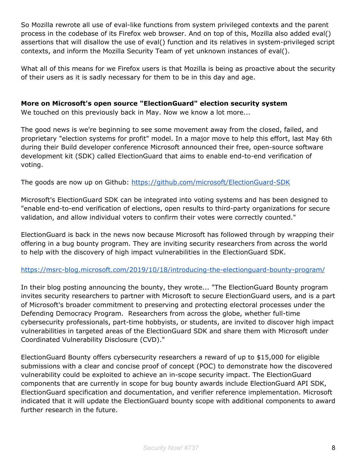So Mozilla rewrote all use of eval-like functions from system privileged contexts and the parent process in the codebase of its Firefox web browser. And on top of this, Mozilla also added eval() assertions that will disallow the use of eval() function and its relatives in system-privileged script contexts, and inform the Mozilla Security Team of yet unknown instances of eval().

What all of this means for we Firefox users is that Mozilla is being as proactive about the security of their users as it is sadly necessary for them to be in this day and age.

#### **More on Microsoft's open source "ElectionGuard" election security system**

We touched on this previously back in May. Now we know a lot more...

The good news is we're beginning to see some movement away from the closed, failed, and proprietary "election systems for profit" model. In a major move to help this effort, last May 6th during their Build developer conference Microsoft announced their free, open-source software development kit (SDK) called ElectionGuard that aims to enable end-to-end verification of voting.

The goods are now up on Github: <https://github.com/microsoft/ElectionGuard-SDK>

Microsoft's ElectionGuard SDK can be integrated into voting systems and has been designed to "enable end-to-end verification of elections, open results to third-party organizations for secure validation, and allow individual voters to confirm their votes were correctly counted."

ElectionGuard is back in the news now because Microsoft has followed through by wrapping their offering in a bug bounty program. They are inviting security researchers from across the world to help with the discovery of high impact vulnerabilities in the ElectionGuard SDK.

#### <https://msrc-blog.microsoft.com/2019/10/18/introducing-the-electionguard-bounty-program/>

In their blog posting announcing the bounty, they wrote... "The ElectionGuard Bounty program invites security researchers to partner with Microsoft to secure ElectionGuard users, and is a part of Microsoft's broader commitment to preserving and protecting electoral processes under the Defending Democracy Program. Researchers from across the globe, whether full-time cybersecurity professionals, part-time hobbyists, or students, are invited to discover high impact vulnerabilities in targeted areas of the ElectionGuard SDK and share them with Microsoft under Coordinated Vulnerability Disclosure (CVD)."

ElectionGuard Bounty offers cybersecurity researchers a reward of up to \$15,000 for eligible submissions with a clear and concise proof of concept (POC) to demonstrate how the discovered vulnerability could be exploited to achieve an in-scope security impact. The ElectionGuard components that are currently in scope for bug bounty awards include ElectionGuard API SDK, ElectionGuard specification and documentation, and verifier reference implementation. Microsoft indicated that it will update the ElectionGuard bounty scope with additional components to award further research in the future.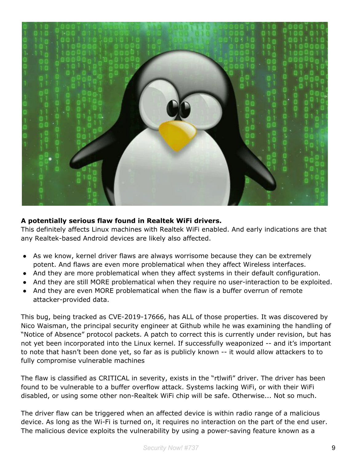

#### **A potentially serious flaw found in Realtek WiFi drivers.**

This definitely affects Linux machines with Realtek WiFi enabled. And early indications are that any Realtek-based Android devices are likely also affected.

- As we know, kernel driver flaws are always worrisome because they can be extremely potent. And flaws are even more problematical when they affect Wireless interfaces.
- And they are more problematical when they affect systems in their default configuration.
- And they are still MORE problematical when they require no user-interaction to be exploited.
- And they are even MORE problematical when the flaw is a buffer overrun of remote attacker-provided data.

This bug, being tracked as CVE-2019-17666, has ALL of those properties. It was discovered by Nico Waisman, the principal security engineer at Github while he was examining the handling of "Notice of Absence" protocol packets. A patch to correct this is currently under revision, but has not yet been incorporated into the Linux kernel. If successfully weaponized -- and it's important to note that hasn't been done yet, so far as is publicly known -- it would allow attackers to to fully compromise vulnerable machines

The flaw is classified as CRITICAL in severity, exists in the "rtlwifi" driver. The driver has been found to be vulnerable to a buffer overflow attack. Systems lacking WiFi, or with their WiFi disabled, or using some other non-Realtek WiFi chip will be safe. Otherwise... Not so much.

The driver flaw can be triggered when an affected device is within radio range of a malicious device. As long as the Wi-Fi is turned on, it requires no interaction on the part of the end user. The malicious device exploits the vulnerability by using a power-saving feature known as a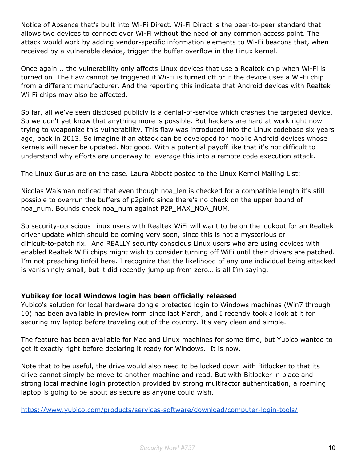Notice of Absence that's built into Wi-Fi Direct. Wi-Fi Direct is the peer-to-peer standard that allows two devices to connect over Wi-Fi without the need of any common access point. The attack would work by adding vendor-specific information elements to Wi-Fi beacons that, when received by a vulnerable device, trigger the buffer overflow in the Linux kernel.

Once again... the vulnerability only affects Linux devices that use a Realtek chip when Wi-Fi is turned on. The flaw cannot be triggered if Wi-Fi is turned off or if the device uses a Wi-Fi chip from a different manufacturer. And the reporting this indicate that Android devices with Realtek Wi-Fi chips may also be affected.

So far, all we've seen disclosed publicly is a denial-of-service which crashes the targeted device. So we don't yet know that anything more is possible. But hackers are hard at work right now trying to weaponize this vulnerability. This flaw was introduced into the Linux codebase six years ago, back in 2013. So imagine if an attack can be developed for mobile Android devices whose kernels will never be updated. Not good. With a potential payoff like that it's not difficult to understand why efforts are underway to leverage this into a remote code execution attack.

The Linux Gurus are on the case. Laura Abbott posted to the Linux Kernel Mailing List:

Nicolas Waisman noticed that even though noa\_len is checked for a compatible length it's still possible to overrun the buffers of p2pinfo since there's no check on the upper bound of noa\_num. Bounds check noa\_num against P2P\_MAX\_NOA\_NUM.

So security-conscious Linux users with Realtek WiFi will want to be on the lookout for an Realtek driver update which should be coming very soon, since this is not a mysterious or difficult-to-patch fix. And REALLY security conscious Linux users who are using devices with enabled Realtek WiFi chips might wish to consider turning off WiFi until their drivers are patched. I'm not preaching tinfoil here. I recognize that the likelihood of any one individual being attacked is vanishingly small, but it did recently jump up from zero… is all I'm saying.

#### **Yubikey for local Windows login has been officially released**

Yubico's solution for local hardware dongle protected login to Windows machines (Win7 through 10) has been available in preview form since last March, and I recently took a look at it for securing my laptop before traveling out of the country. It's very clean and simple.

The feature has been available for Mac and Linux machines for some time, but Yubico wanted to get it exactly right before declaring it ready for Windows. It is now.

Note that to be useful, the drive would also need to be locked down with Bitlocker to that its drive cannot simply be move to another machine and read. But with Bitlocker in place and strong local machine login protection provided by strong multifactor authentication, a roaming laptop is going to be about as secure as anyone could wish.

<https://www.yubico.com/products/services-software/download/computer-login-tools/>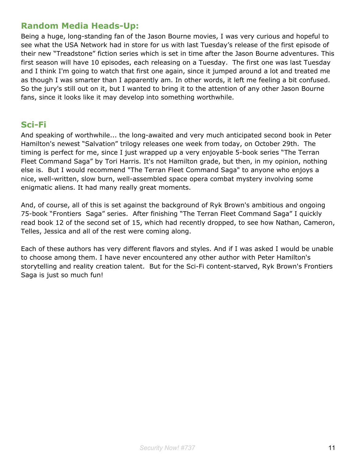## **Random Media Heads-Up:**

Being a huge, long-standing fan of the Jason Bourne movies, I was very curious and hopeful to see what the USA Network had in store for us with last Tuesday's release of the first episode of their new "Treadstone" fiction series which is set in time after the Jason Bourne adventures. This first season will have 10 episodes, each releasing on a Tuesday. The first one was last Tuesday and I think I'm going to watch that first one again, since it jumped around a lot and treated me as though I was smarter than I apparently am. In other words, it left me feeling a bit confused. So the jury's still out on it, but I wanted to bring it to the attention of any other Jason Bourne fans, since it looks like it may develop into something worthwhile.

### **Sci-Fi**

And speaking of worthwhile... the long-awaited and very much anticipated second book in Peter Hamilton's newest "Salvation" trilogy releases one week from today, on October 29th. The timing is perfect for me, since I just wrapped up a very enjoyable 5-book series "The Terran Fleet Command Saga" by Tori Harris. It's not Hamilton grade, but then, in my opinion, nothing else is. But I would recommend "The Terran Fleet Command Saga" to anyone who enjoys a nice, well-written, slow burn, well-assembled space opera combat mystery involving some enigmatic aliens. It had many really great moments.

And, of course, all of this is set against the background of Ryk Brown's ambitious and ongoing 75-book "Frontiers Saga" series. After finishing "The Terran Fleet Command Saga" I quickly read book 12 of the second set of 15, which had recently dropped, to see how Nathan, Cameron, Telles, Jessica and all of the rest were coming along.

Each of these authors has very different flavors and styles. And if I was asked I would be unable to choose among them. I have never encountered any other author with Peter Hamilton's storytelling and reality creation talent. But for the Sci-Fi content-starved, Ryk Brown's Frontiers Saga is just so much fun!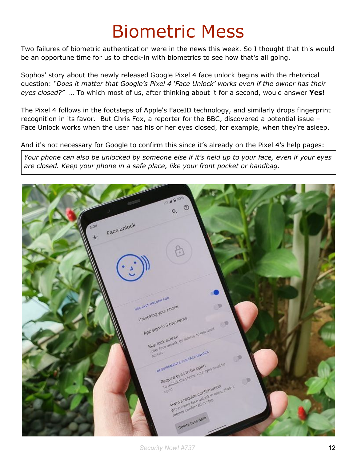# Biometric Mess

Two failures of biometric authentication were in the news this week. So I thought that this would be an opportune time for us to check-in with biometrics to see how that's all going.

Sophos' story about the newly released Google Pixel 4 face unlock begins with the rhetorical question: *"Does it matter that Google's Pixel 4 'Face Unlock' works even if the owner has their eyes closed?"* … To which most of us, after thinking about it for a second, would answer **Yes!**

The Pixel 4 follows in the footsteps of Apple's FaceID technology, and similarly drops fingerprint recognition in its favor. But Chris Fox, a reporter for the BBC, discovered a potential issue – Face Unlock works when the user has his or her eyes closed, for example, when they're asleep.

And it's not necessary for Google to confirm this since it's already on the Pixel 4's help pages:

Your phone can also be unlocked by someone else if it's held up to your face, even if your eyes *are closed. Keep your phone in a safe place, like your front pocket or handbag.*

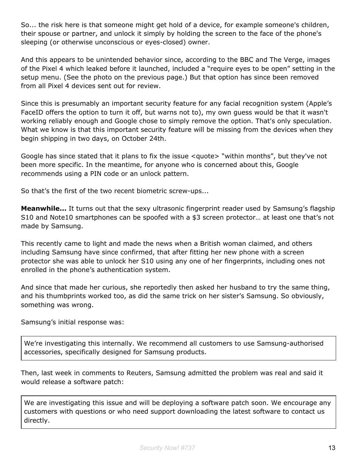So... the risk here is that someone might get hold of a device, for example someone's children, their spouse or partner, and unlock it simply by holding the screen to the face of the phone's sleeping (or otherwise unconscious or eyes-closed) owner.

And this appears to be unintended behavior since, according to the BBC and The Verge, images of the Pixel 4 which leaked before it launched, included a "require eyes to be open" setting in the setup menu. (See the photo on the previous page.) But that option has since been removed from all Pixel 4 devices sent out for review.

Since this is presumably an important security feature for any facial recognition system (Apple's FaceID offers the option to turn it off, but warns not to), my own guess would be that it wasn't working reliably enough and Google chose to simply remove the option. That's only speculation. What we know is that this important security feature will be missing from the devices when they begin shipping in two days, on October 24th.

Google has since stated that it plans to fix the issue <quote> "within months", but they've not been more specific. In the meantime, for anyone who is concerned about this, Google recommends using a PIN code or an unlock pattern.

So that's the first of the two recent biometric screw-ups...

**Meanwhile...** It turns out that the sexy ultrasonic fingerprint reader used by Samsung's flagship S10 and Note10 smartphones can be spoofed with a \$3 screen protector... at least one that's not made by Samsung.

This recently came to light and made the news when a British woman claimed, and others including Samsung have since confirmed, that after fitting her new phone with a screen protector she was able to unlock her S10 using any one of her fingerprints, including ones not enrolled in the phone's authentication system.

And since that made her curious, she reportedly then asked her husband to try the same thing, and his thumbprints worked too, as did the same trick on her sister's Samsung. So obviously, something was wrong.

Samsung's initial response was:

We're investigating this internally. We recommend all customers to use Samsung-authorised accessories, specifically designed for Samsung products.

Then, last week in comments to Reuters, Samsung admitted the problem was real and said it would release a software patch:

We are investigating this issue and will be deploying a software patch soon. We encourage any customers with questions or who need support downloading the latest software to contact us directly.